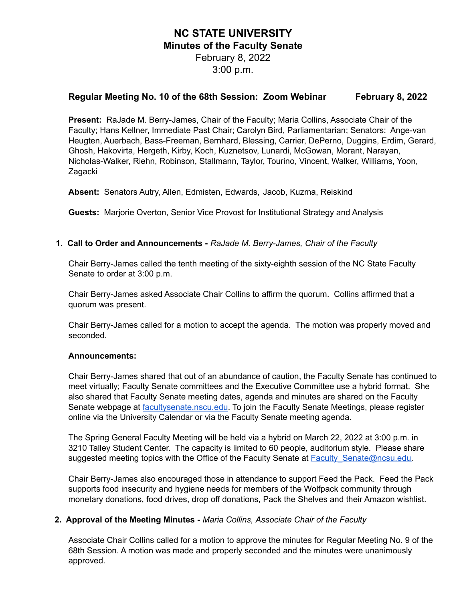# **NC STATE UNIVERSITY Minutes of the Faculty Senate** February 8, 2022 3:00 p.m.

# **Regular Meeting No. 10 of the 68th Session: Zoom Webinar February 8, 2022**

**Present:** RaJade M. Berry-James, Chair of the Faculty; Maria Collins, Associate Chair of the Faculty; Hans Kellner, Immediate Past Chair; Carolyn Bird, Parliamentarian; Senators: Ange-van Heugten, Auerbach, Bass-Freeman, Bernhard, Blessing, Carrier, DePerno, Duggins, Erdim, Gerard, Ghosh, Hakovirta, Hergeth, Kirby, Koch, Kuznetsov, Lunardi, McGowan, Morant, Narayan, Nicholas-Walker, Riehn, Robinson, Stallmann, Taylor, Tourino, Vincent, Walker, Williams, Yoon, Zagacki

**Absent:** Senators Autry, Allen, Edmisten, Edwards, Jacob, Kuzma, Reiskind

**Guests:** Marjorie Overton, Senior Vice Provost for Institutional Strategy and Analysis

#### **1. Call to Order and Announcements -** *RaJade M. Berry-James, Chair of the Faculty*

Chair Berry-James called the tenth meeting of the sixty-eighth session of the NC State Faculty Senate to order at 3:00 p.m.

Chair Berry-James asked Associate Chair Collins to affirm the quorum. Collins affirmed that a quorum was present.

Chair Berry-James called for a motion to accept the agenda. The motion was properly moved and seconded.

#### **Announcements:**

Chair Berry-James shared that out of an abundance of caution, the Faculty Senate has continued to meet virtually; Faculty Senate committees and the Executive Committee use a hybrid format. She also shared that Faculty Senate meeting dates, agenda and minutes are shared on the Faculty Senate webpage at [facultysenate.nscu.edu](https://facultysenate.ncsu.edu/). To join the Faculty Senate Meetings, please register online via the University Calendar or via the Faculty Senate meeting agenda.

The Spring General Faculty Meeting will be held via a hybrid on March 22, 2022 at 3:00 p.m. in 3210 Talley Student Center. The capacity is limited to 60 people, auditorium style. Please share suggested meeting topics with the Office of the Faculty Senate at Faculty Senate@ncsu.edu.

Chair Berry-James also encouraged those in attendance to support Feed the Pack. Feed the Pack supports food insecurity and hygiene needs for members of the Wolfpack community through monetary donations, food drives, drop off donations, Pack the Shelves and their Amazon wishlist.

### **2. Approval of the Meeting Minutes -** *Maria Collins, Associate Chair of the Faculty*

Associate Chair Collins called for a motion to approve the minutes for Regular Meeting No. 9 of the 68th Session. A motion was made and properly seconded and the minutes were unanimously approved.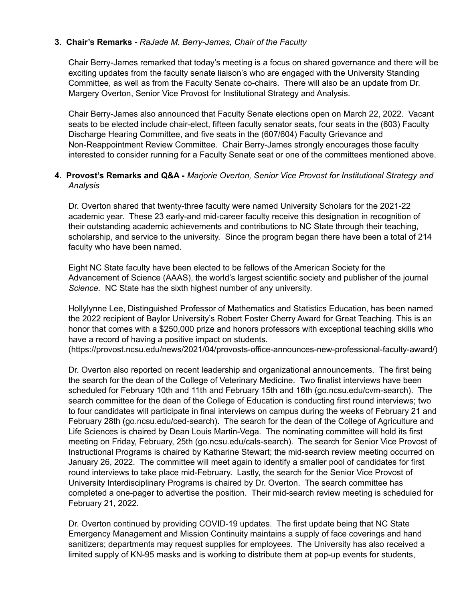## **3. Chair's Remarks -** *RaJade M. Berry-James, Chair of the Faculty*

Chair Berry-James remarked that today's meeting is a focus on shared governance and there will be exciting updates from the faculty senate liaison's who are engaged with the University Standing Committee, as well as from the Faculty Senate co-chairs. There will also be an update from Dr. Margery Overton, Senior Vice Provost for Institutional Strategy and Analysis.

Chair Berry-James also announced that Faculty Senate elections open on March 22, 2022. Vacant seats to be elected include chair-elect, fifteen faculty senator seats, four seats in the (603) Faculty Discharge Hearing Committee, and five seats in the (607/604) Faculty Grievance and Non-Reappointment Review Committee. Chair Berry-James strongly encourages those faculty interested to consider running for a Faculty Senate seat or one of the committees mentioned above.

### **4. Provost's Remarks and Q&A -** *Marjorie Overton, Senior Vice Provost for Institutional Strategy and Analysis*

Dr. Overton shared that twenty-three faculty were named University Scholars for the 2021-22 academic year. These 23 early-and mid-career faculty receive this designation in recognition of their outstanding academic achievements and contributions to NC State through their teaching, scholarship, and service to the university. Since the program began there have been a total of 214 faculty who have been named.

Eight NC State faculty have been elected to be fellows of the American Society for the Advancement of Science (AAAS), the world's largest scientific society and publisher of the journal *Science*. NC State has the sixth highest number of any university.

Hollylynne Lee, Distinguished Professor of Mathematics and Statistics Education, has been named the 2022 recipient of Baylor University's Robert Foster Cherry Award for Great Teaching. This is an honor that comes with a \$250,000 prize and honors professors with exceptional teaching skills who have a record of having a positive impact on students.

(https://provost.ncsu.edu/news/2021/04/provosts-office-announces-new-professional-faculty-award/)

Dr. Overton also reported on recent leadership and organizational announcements. The first being the search for the dean of the College of Veterinary Medicine. Two finalist interviews have been scheduled for February 10th and 11th and February 15th and 16th (go.ncsu.edu/cvm-search). The search committee for the dean of the College of Education is conducting first round interviews; two to four candidates will participate in final interviews on campus during the weeks of February 21 and February 28th (go.ncsu.edu/ced-search). The search for the dean of the College of Agriculture and Life Sciences is chaired by Dean Louis Martin-Vega. The nominating committee will hold its first meeting on Friday, February, 25th (go.ncsu.edu/cals-search). The search for Senior Vice Provost of Instructional Programs is chaired by Katharine Stewart; the mid-search review meeting occurred on January 26, 2022. The committee will meet again to identify a smaller pool of candidates for first round interviews to take place mid-February. Lastly, the search for the Senior Vice Provost of University Interdisciplinary Programs is chaired by Dr. Overton. The search committee has completed a one-pager to advertise the position. Their mid-search review meeting is scheduled for February 21, 2022.

Dr. Overton continued by providing COVID-19 updates. The first update being that NC State Emergency Management and Mission Continuity maintains a supply of face coverings and hand sanitizers; departments may request supplies for employees. The University has also received a limited supply of KN-95 masks and is working to distribute them at pop-up events for students,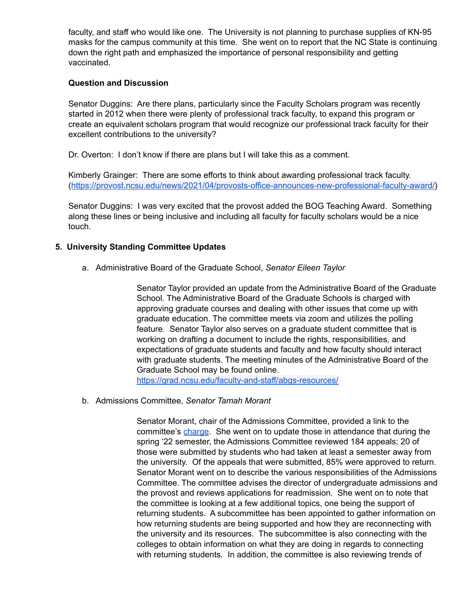faculty, and staff who would like one. The University is not planning to purchase supplies of KN-95 masks for the campus community at this time. She went on to report that the NC State is continuing down the right path and emphasized the importance of personal responsibility and getting vaccinated.

## **Question and Discussion**

Senator Duggins: Are there plans, particularly since the Faculty Scholars program was recently started in 2012 when there were plenty of professional track faculty, to expand this program or create an equivalent scholars program that would recognize our professional track faculty for their excellent contributions to the university?

Dr. Overton: I don't know if there are plans but I will take this as a comment.

Kimberly Grainger: There are some efforts to think about awarding professional track faculty. ([https://provost.ncsu.edu/news/2021/04/provosts-office-announces-new-professional-faculty-award/\)](https://provost.ncsu.edu/news/2021/04/provosts-office-announces-new-professional-faculty-award/)

Senator Duggins: I was very excited that the provost added the BOG Teaching Award. Something along these lines or being inclusive and including all faculty for faculty scholars would be a nice touch.

### **5. University Standing Committee Updates**

a. Administrative Board of the Graduate School, *Senator Eileen Taylor*

Senator Taylor provided an update from the Administrative Board of the Graduate School. The Administrative Board of the Graduate Schools is charged with approving graduate courses and dealing with other issues that come up with graduate education. The committee meets via zoom and utilizes the polling feature. Senator Taylor also serves on a graduate student committee that is working on drafting a document to include the rights, responsibilities, and expectations of graduate students and faculty and how faculty should interact with graduate students. The meeting minutes of the Administrative Board of the Graduate School may be found online. <https://grad.ncsu.edu/faculty-and-staff/abgs-resources/>

b. Admissions Committee, *Senator Tamah Morant*

Senator Morant, chair of the Admissions Committee, provided a link to the committee's [charge](https://committees.provost.ncsu.edu/undergraduate-admissions/committee-charge/). She went on to update those in attendance that during the spring '22 semester, the Admissions Committee reviewed 184 appeals; 20 of those were submitted by students who had taken at least a semester away from the university. Of the appeals that were submitted, 85% were approved to return. Senator Morant went on to describe the various responsibilities of the Admissions Committee. The committee advises the director of undergraduate admissions and the provost and reviews applications for readmission. She went on to note that the committee is looking at a few additional topics, one being the support of returning students. A subcommittee has been appointed to gather information on how returning students are being supported and how they are reconnecting with the university and its resources. The subcommittee is also connecting with the colleges to obtain information on what they are doing in regards to connecting with returning students. In addition, the committee is also reviewing trends of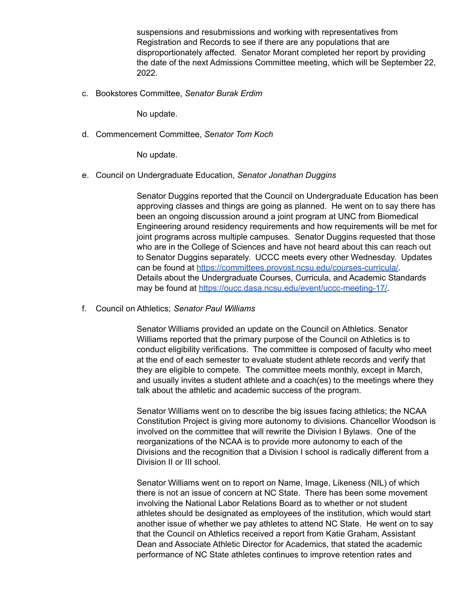suspensions and resubmissions and working with representatives from Registration and Records to see if there are any populations that are disproportionately affected. Senator Morant completed her report by providing the date of the next Admissions Committee meeting, which will be September 22, 2022.

c. Bookstores Committee, *Senator Burak Erdim*

No update.

d. Commencement Committee, *Senator Tom Koch*

No update.

e. Council on Undergraduate Education, *Senator Jonathan Duggins*

Senator Duggins reported that the Council on Undergraduate Education has been approving classes and things are going as planned. He went on to say there has been an ongoing discussion around a joint program at UNC from Biomedical Engineering around residency requirements and how requirements will be met for joint programs across multiple campuses. Senator Duggins requested that those who are in the College of Sciences and have not heard about this can reach out to Senator Duggins separately. UCCC meets every other Wednesday. Updates can be found at [https://committees.provost.ncsu.edu/courses-curricula/.](https://committees.provost.ncsu.edu/courses-curricula/) Details about the Undergraduate Courses, Curricula, and Academic Standards may be found at <https://oucc.dasa.ncsu.edu/event/uccc-meeting-17/>.

f. Council on Athletics; *Senator Paul Williams*

Senator Williams provided an update on the Council on Athletics. Senator Williams reported that the primary purpose of the Council on Athletics is to conduct eligibility verifications. The committee is composed of faculty who meet at the end of each semester to evaluate student athlete records and verify that they are eligible to compete. The committee meets monthly, except in March, and usually invites a student athlete and a coach(es) to the meetings where they talk about the athletic and academic success of the program.

Senator Williams went on to describe the big issues facing athletics; the NCAA Constitution Project is giving more autonomy to divisions. Chancellor Woodson is involved on the committee that will rewrite the Division I Bylaws. One of the reorganizations of the NCAA is to provide more autonomy to each of the Divisions and the recognition that a Division I school is radically different from a Division II or III school.

Senator Williams went on to report on Name, Image, Likeness (NIL) of which there is not an issue of concern at NC State. There has been some movement involving the National Labor Relations Board as to whether or not student athletes should be designated as employees of the institution, which would start another issue of whether we pay athletes to attend NC State. He went on to say that the Council on Athletics received a report from Katie Graham, Assistant Dean and Associate Athletic Director for Academics, that stated the academic performance of NC State athletes continues to improve retention rates and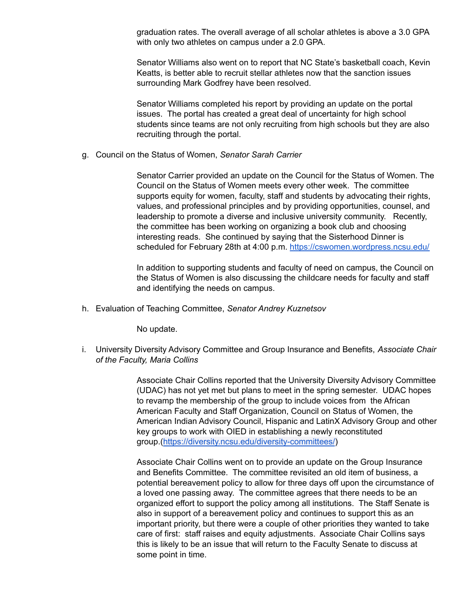graduation rates. The overall average of all scholar athletes is above a 3.0 GPA with only two athletes on campus under a 2.0 GPA.

Senator Williams also went on to report that NC State's basketball coach, Kevin Keatts, is better able to recruit stellar athletes now that the sanction issues surrounding Mark Godfrey have been resolved.

Senator Williams completed his report by providing an update on the portal issues. The portal has created a great deal of uncertainty for high school students since teams are not only recruiting from high schools but they are also recruiting through the portal.

g. Council on the Status of Women, *Senator Sarah Carrier*

Senator Carrier provided an update on the Council for the Status of Women. The Council on the Status of Women meets every other week. The committee supports equity for women, faculty, staff and students by advocating their rights, values, and professional principles and by providing opportunities, counsel, and leadership to promote a diverse and inclusive university community. Recently, the committee has been working on organizing a book club and choosing interesting reads. She continued by saying that the Sisterhood Dinner is scheduled for February 28th at 4:00 p.m. <https://cswomen.wordpress.ncsu.edu/>

In addition to supporting students and faculty of need on campus, the Council on the Status of Women is also discussing the childcare needs for faculty and staff and identifying the needs on campus.

h. Evaluation of Teaching Committee, *Senator Andrey Kuznetsov*

No update.

i. University Diversity Advisory Committee and Group Insurance and Benefits, *Associate Chair of the Faculty, Maria Collins*

> Associate Chair Collins reported that the University Diversity Advisory Committee (UDAC) has not yet met but plans to meet in the spring semester. UDAC hopes to revamp the membership of the group to include voices from the African American Faculty and Staff Organization, Council on Status of Women, the American Indian Advisory Council, Hispanic and LatinX Advisory Group and other key groups to work with OIED in establishing a newly reconstituted group.(<https://diversity.ncsu.edu/diversity-committees/>)

> Associate Chair Collins went on to provide an update on the Group Insurance and Benefits Committee. The committee revisited an old item of business, a potential bereavement policy to allow for three days off upon the circumstance of a loved one passing away. The committee agrees that there needs to be an organized effort to support the policy among all institutions. The Staff Senate is also in support of a bereavement policy and continues to support this as an important priority, but there were a couple of other priorities they wanted to take care of first: staff raises and equity adjustments. Associate Chair Collins says this is likely to be an issue that will return to the Faculty Senate to discuss at some point in time.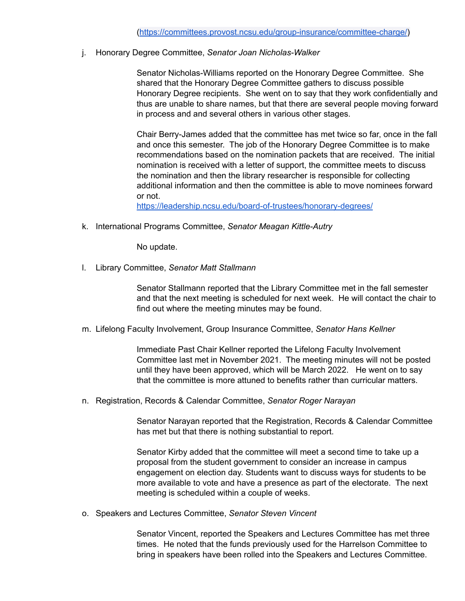j. Honorary Degree Committee, *Senator Joan Nicholas-Walker*

Senator Nicholas-Williams reported on the Honorary Degree Committee. She shared that the Honorary Degree Committee gathers to discuss possible Honorary Degree recipients. She went on to say that they work confidentially and thus are unable to share names, but that there are several people moving forward in process and and several others in various other stages.

Chair Berry-James added that the committee has met twice so far, once in the fall and once this semester. The job of the Honorary Degree Committee is to make recommendations based on the nomination packets that are received. The initial nomination is received with a letter of support, the committee meets to discuss the nomination and then the library researcher is responsible for collecting additional information and then the committee is able to move nominees forward or not.

<https://leadership.ncsu.edu/board-of-trustees/honorary-degrees/>

k. International Programs Committee, *Senator Meagan Kittle-Autry*

No update.

l. Library Committee, *Senator Matt Stallmann*

Senator Stallmann reported that the Library Committee met in the fall semester and that the next meeting is scheduled for next week. He will contact the chair to find out where the meeting minutes may be found.

m. Lifelong Faculty Involvement, Group Insurance Committee, *Senator Hans Kellner*

Immediate Past Chair Kellner reported the Lifelong Faculty Involvement Committee last met in November 2021. The meeting minutes will not be posted until they have been approved, which will be March 2022. He went on to say that the committee is more attuned to benefits rather than curricular matters.

n. Registration, Records & Calendar Committee, *Senator Roger Narayan*

Senator Narayan reported that the Registration, Records & Calendar Committee has met but that there is nothing substantial to report.

Senator Kirby added that the committee will meet a second time to take up a proposal from the student government to consider an increase in campus engagement on election day. Students want to discuss ways for students to be more available to vote and have a presence as part of the electorate. The next meeting is scheduled within a couple of weeks.

o. Speakers and Lectures Committee, *Senator Steven Vincent*

Senator Vincent, reported the Speakers and Lectures Committee has met three times. He noted that the funds previously used for the Harrelson Committee to bring in speakers have been rolled into the Speakers and Lectures Committee.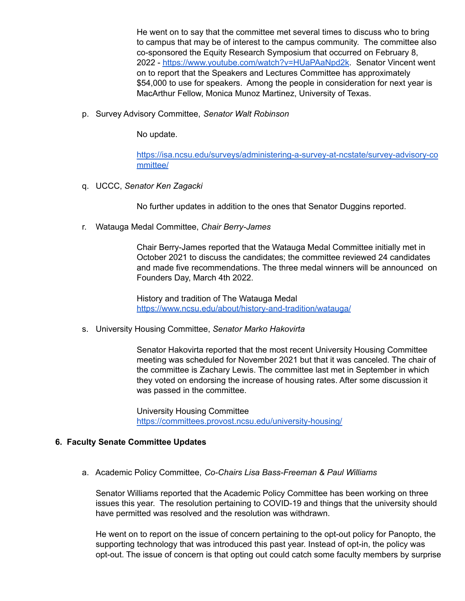He went on to say that the committee met several times to discuss who to bring to campus that may be of interest to the campus community. The committee also co-sponsored the Equity Research Symposium that occurred on February 8, 2022 - <https://www.youtube.com/watch?v=HUaPAaNpd2k>. Senator Vincent went on to report that the Speakers and Lectures Committee has approximately \$54,000 to use for speakers. Among the people in consideration for next year is MacArthur Fellow, Monica Munoz Martinez, University of Texas.

p. Survey Advisory Committee, *Senator Walt Robinson*

No update.

[https://isa.ncsu.edu/surveys/administering-a-survey-at-ncstate/survey-advisory-co](https://isa.ncsu.edu/surveys/administering-a-survey-at-ncstate/survey-advisory-committee/) [mmittee/](https://isa.ncsu.edu/surveys/administering-a-survey-at-ncstate/survey-advisory-committee/)

q. UCCC, *Senator Ken Zagacki*

No further updates in addition to the ones that Senator Duggins reported.

r. Watauga Medal Committee, *Chair Berry-James*

Chair Berry-James reported that the Watauga Medal Committee initially met in October 2021 to discuss the candidates; the committee reviewed 24 candidates and made five recommendations. The three medal winners will be announced on Founders Day, March 4th 2022.

History and tradition of The Watauga Medal <https://www.ncsu.edu/about/history-and-tradition/watauga/>

s. University Housing Committee, *Senator Marko Hakovirta*

Senator Hakovirta reported that the most recent University Housing Committee meeting was scheduled for November 2021 but that it was canceled. The chair of the committee is Zachary Lewis. The committee last met in September in which they voted on endorsing the increase of housing rates. After some discussion it was passed in the committee.

University Housing Committee <https://committees.provost.ncsu.edu/university-housing/>

### **6. Faculty Senate Committee Updates**

a. Academic Policy Committee, *Co-Chairs Lisa Bass-Freeman & Paul Williams*

Senator Williams reported that the Academic Policy Committee has been working on three issues this year. The resolution pertaining to COVID-19 and things that the university should have permitted was resolved and the resolution was withdrawn.

He went on to report on the issue of concern pertaining to the opt-out policy for Panopto, the supporting technology that was introduced this past year. Instead of opt-in, the policy was opt-out. The issue of concern is that opting out could catch some faculty members by surprise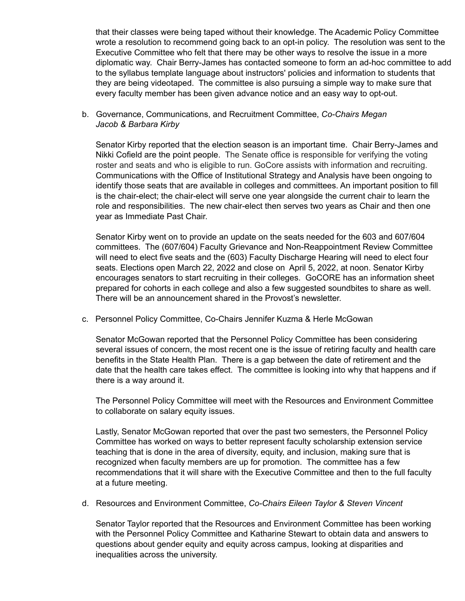that their classes were being taped without their knowledge. The Academic Policy Committee wrote a resolution to recommend going back to an opt-in policy. The resolution was sent to the Executive Committee who felt that there may be other ways to resolve the issue in a more diplomatic way. Chair Berry-James has contacted someone to form an ad-hoc committee to add to the syllabus template language about instructors' policies and information to students that they are being videotaped. The committee is also pursuing a simple way to make sure that every faculty member has been given advance notice and an easy way to opt-out.

b. Governance, Communications, and Recruitment Committee, *Co-Chairs Megan Jacob & Barbara Kirby*

Senator Kirby reported that the election season is an important time. Chair Berry-James and Nikki Cofield are the point people. The Senate office is responsible for verifying the voting roster and seats and who is eligible to run. GoCore assists with information and recruiting. Communications with the Office of Institutional Strategy and Analysis have been ongoing to identify those seats that are available in colleges and committees. An important position to fill is the chair-elect; the chair-elect will serve one year alongside the current chair to learn the role and responsibilities. The new chair-elect then serves two years as Chair and then one year as Immediate Past Chair.

Senator Kirby went on to provide an update on the seats needed for the 603 and 607/604 committees. The (607/604) Faculty Grievance and Non-Reappointment Review Committee will need to elect five seats and the (603) Faculty Discharge Hearing will need to elect four seats. Elections open March 22, 2022 and close on April 5, 2022, at noon. Senator Kirby encourages senators to start recruiting in their colleges. GoCORE has an information sheet prepared for cohorts in each college and also a few suggested soundbites to share as well. There will be an announcement shared in the Provost's newsletter.

c. Personnel Policy Committee, Co-Chairs Jennifer Kuzma & Herle McGowan

Senator McGowan reported that the Personnel Policy Committee has been considering several issues of concern, the most recent one is the issue of retiring faculty and health care benefits in the State Health Plan. There is a gap between the date of retirement and the date that the health care takes effect. The committee is looking into why that happens and if there is a way around it.

The Personnel Policy Committee will meet with the Resources and Environment Committee to collaborate on salary equity issues.

Lastly, Senator McGowan reported that over the past two semesters, the Personnel Policy Committee has worked on ways to better represent faculty scholarship extension service teaching that is done in the area of diversity, equity, and inclusion, making sure that is recognized when faculty members are up for promotion. The committee has a few recommendations that it will share with the Executive Committee and then to the full faculty at a future meeting.

d. Resources and Environment Committee, *Co-Chairs Eileen Taylor & Steven Vincent*

Senator Taylor reported that the Resources and Environment Committee has been working with the Personnel Policy Committee and Katharine Stewart to obtain data and answers to questions about gender equity and equity across campus, looking at disparities and inequalities across the university.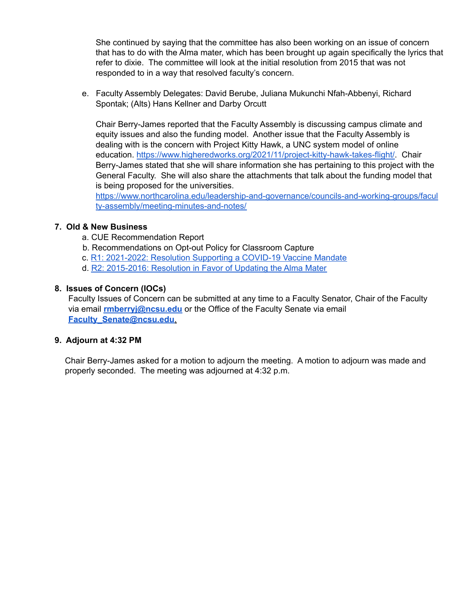She continued by saying that the committee has also been working on an issue of concern that has to do with the Alma mater, which has been brought up again specifically the lyrics that refer to dixie. The committee will look at the initial resolution from 2015 that was not responded to in a way that resolved faculty's concern.

e. Faculty Assembly Delegates: David Berube, Juliana Mukunchi Nfah-Abbenyi, Richard Spontak; (Alts) Hans Kellner and Darby Orcutt

Chair Berry-James reported that the Faculty Assembly is discussing campus climate and equity issues and also the funding model. Another issue that the Faculty Assembly is dealing with is the concern with Project Kitty Hawk, a UNC system model of online education. [https://www.higheredworks.org/2021/11/project-kitty-hawk-takes-flight/.](https://www.higheredworks.org/2021/11/project-kitty-hawk-takes-flight/) Chair Berry-James stated that she will share information she has pertaining to this project with the General Faculty. She will also share the attachments that talk about the funding model that is being proposed for the universities.

[https://www.northcarolina.edu/leadership-and-governance/councils-and-working-groups/facul](https://www.northcarolina.edu/leadership-and-governance/councils-and-working-groups/faculty-assembly/meeting-minutes-and-notes/) [ty-assembly/meeting-minutes-and-notes/](https://www.northcarolina.edu/leadership-and-governance/councils-and-working-groups/faculty-assembly/meeting-minutes-and-notes/)

## **7. Old & New Business**

- a. CUE Recommendation Report
- b. Recommendations on Opt-out Policy for Classroom Capture
- c. R1: 2021-2022: Resolution Supporting a COVID-19 Vaccine Mandate
- d. R2: 2015-2016: Resolution in Favor of Updating the Alma Mater

### **8. Issues of Concern (IOCs)**

Faculty Issues of Concern can be submitted at any time to a Faculty Senator, Chair of the Faculty via email **rmberryj@ncsu.edu** or the Office of the Faculty Senate via email **Faculty\_Senate@ncsu.edu**.

### **9. Adjourn at 4:32 PM**

Chair Berry-James asked for a motion to adjourn the meeting. A motion to adjourn was made and properly seconded. The meeting was adjourned at 4:32 p.m.